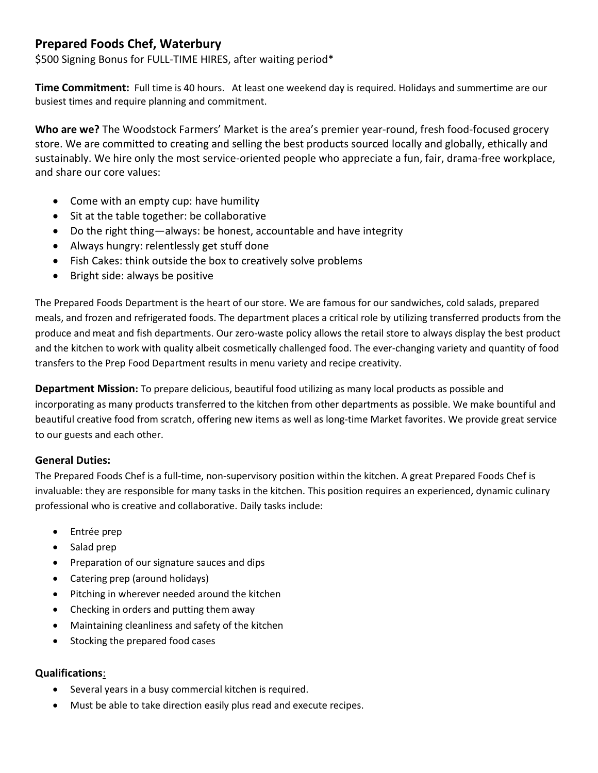## **Prepared Foods Chef, Waterbury**

\$500 Signing Bonus for FULL-TIME HIRES, after waiting period\*

**Time Commitment:** Full time is 40 hours. At least one weekend day is required. Holidays and summertime are our busiest times and require planning and commitment.

**Who are we?** The Woodstock Farmers' Market is the area's premier year-round, fresh food-focused grocery store. We are committed to creating and selling the best products sourced locally and globally, ethically and sustainably. We hire only the most service-oriented people who appreciate a fun, fair, drama-free workplace, and share our core values:

- Come with an empty cup: have humility
- Sit at the table together: be collaborative
- Do the right thing—always: be honest, accountable and have integrity
- Always hungry: relentlessly get stuff done
- Fish Cakes: think outside the box to creatively solve problems
- Bright side: always be positive

The Prepared Foods Department is the heart of our store. We are famous for our sandwiches, cold salads, prepared meals, and frozen and refrigerated foods. The department places a critical role by utilizing transferred products from the produce and meat and fish departments. Our zero-waste policy allows the retail store to always display the best product and the kitchen to work with quality albeit cosmetically challenged food. The ever-changing variety and quantity of food transfers to the Prep Food Department results in menu variety and recipe creativity.

**Department Mission:** To prepare delicious, beautiful food utilizing as many local products as possible and incorporating as many products transferred to the kitchen from other departments as possible. We make bountiful and beautiful creative food from scratch, offering new items as well as long-time Market favorites. We provide great service to our guests and each other.

## **General Duties:**

The Prepared Foods Chef is a full-time, non-supervisory position within the kitchen. A great Prepared Foods Chef is invaluable: they are responsible for many tasks in the kitchen. This position requires an experienced, dynamic culinary professional who is creative and collaborative. Daily tasks include:

- Entrée prep
- Salad prep
- Preparation of our signature sauces and dips
- Catering prep (around holidays)
- Pitching in wherever needed around the kitchen
- Checking in orders and putting them away
- Maintaining cleanliness and safety of the kitchen
- Stocking the prepared food cases

## **Qualifications**:

- Several years in a busy commercial kitchen is required.
- Must be able to take direction easily plus read and execute recipes.